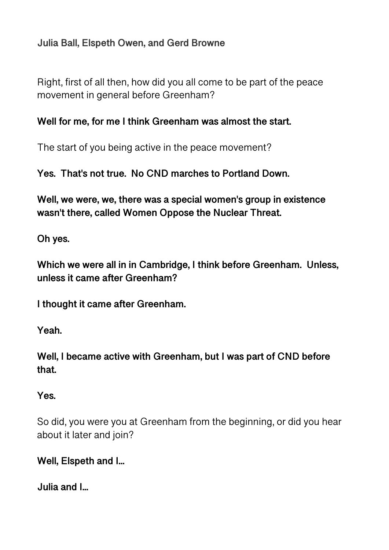# **Julia Ball, Elspeth Owen, and Gerd Browne**

Right, first of all then, how did you all come to be part of the peace movement in general before Greenham?

#### **Well for me, for me I think Greenham was almost the start.**

The start of you being active in the peace movement?

**Yes. That's not true. No CND marches to Portland Down.** 

**Well, we were, we, there was a special women's group in existence wasn't there, called Women Oppose the Nuclear Threat.** 

**Oh yes.** 

**Which we were all in in Cambridge, I think before Greenham. Unless, unless it came after Greenham?** 

**I thought it came after Greenham.** 

**Yeah.** 

**Well, I became active with Greenham, but I was part of CND before that.** 

**Yes.** 

So did, you were you at Greenham from the beginning, or did you hear about it later and join?

**Well, Elspeth and I...** 

**Julia and I...**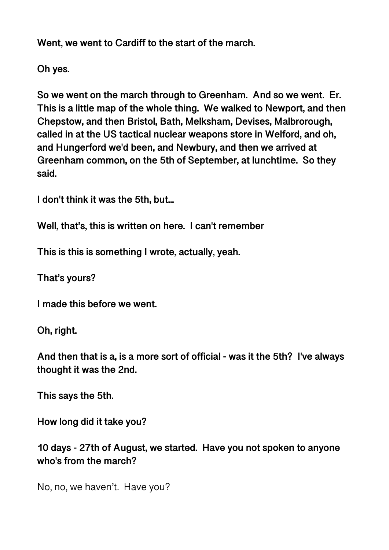**Went, we went to Cardiff to the start of the march.** 

**Oh yes.** 

**So we went on the march through to Greenham. And so we went. Er. This is a little map of the whole thing. We walked to Newport, and then Chepstow, and then Bristol, Bath, Melksham, Devises, Malbrorough, called in at the US tactical nuclear weapons store in Welford, and oh, and Hungerford we'd been, and Newbury, and then we arrived at Greenham common, on the 5th of September, at lunchtime. So they said.** 

**I don't think it was the 5th, but...** 

**Well, that's, this is written on here. I can't remember** 

**This is this is something I wrote, actually, yeah.** 

**That's yours?** 

**I made this before we went.** 

**Oh, right.** 

**And then that is a, is a more sort of official - was it the 5th? I've always thought it was the 2nd.** 

**This says the 5th.** 

**How long did it take you?** 

**10 days - 27th of August, we started. Have you not spoken to anyone who's from the march?** 

No, no, we haven't. Have you?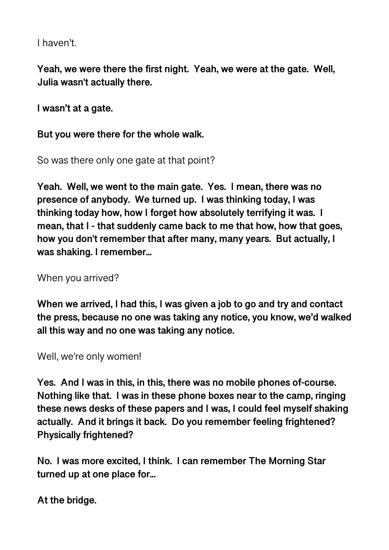I haven't.

**Yeah, we were there the first night. Yeah, we were at the gate. Well, Julia wasn't actually there.** 

**I wasn't at a gate.** 

**But you were there for the whole walk.** 

So was there only one gate at that point?

**Yeah. Well, we went to the main gate. Yes. I mean, there was no presence of anybody. We turned up. I was thinking today, I was thinking today how, how I forget how absolutely terrifying it was. I mean, that I - that suddenly came back to me that how, how that goes, how you don't remember that after many, many years. But actually, I was shaking. I remember...** 

When you arrived?

**When we arrived, I had this, I was given a job to go and try and contact the press, because no one was taking any notice, you know, we'd walked all this way and no one was taking any notice.** 

Well, we're only women!

**Yes. And I was in this, in this, there was no mobile phones of-course. Nothing like that. I was in these phone boxes near to the camp, ringing these news desks of these papers and I was, I could feel myself shaking actually. And it brings it back. Do you remember feeling frightened? Physically frightened?** 

**No. I was more excited, I think. I can remember The Morning Star turned up at one place for...** 

**At the bridge.**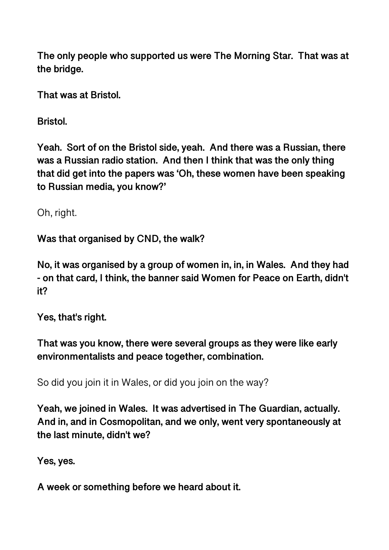**The only people who supported us were The Morning Star. That was at the bridge.** 

**That was at Bristol.** 

**Bristol.** 

**Yeah. Sort of on the Bristol side, yeah. And there was a Russian, there was a Russian radio station. And then I think that was the only thing that did get into the papers was 'Oh, these women have been speaking to Russian media, you know?'** 

Oh, right.

**Was that organised by CND, the walk?** 

**No, it was organised by a group of women in, in, in Wales. And they had - on that card, I think, the banner said Women for Peace on Earth, didn't it?** 

**Yes, that's right.** 

**That was you know, there were several groups as they were like early environmentalists and peace together, combination.** 

So did you join it in Wales, or did you join on the way?

**Yeah, we joined in Wales. It was advertised in The Guardian, actually. And in, and in Cosmopolitan, and we only, went very spontaneously at the last minute, didn't we?** 

**Yes, yes.** 

**A week or something before we heard about it.**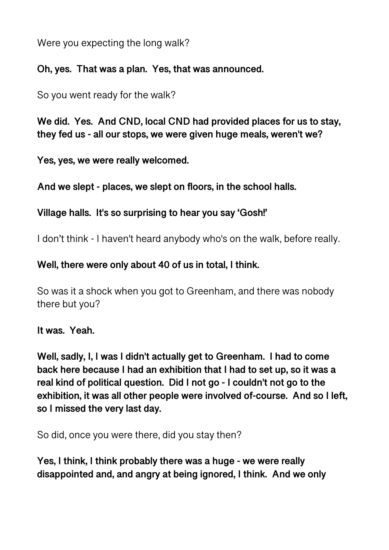Were you expecting the long walk?

#### **Oh, yes. That was a plan. Yes, that was announced.**

So you went ready for the walk?

**We did. Yes. And CND, local CND had provided places for us to stay, they fed us - all our stops, we were given huge meals, weren't we?** 

**Yes, yes, we were really welcomed.** 

**And we slept - places, we slept on floors, in the school halls.** 

**Village halls. It's so surprising to hear you say 'Gosh!'** 

I don't think - I haven't heard anybody who's on the walk, before really.

## **Well, there were only about 40 of us in total, I think.**

So was it a shock when you got to Greenham, and there was nobody there but you?

**It was. Yeah.** 

**Well, sadly, I, I was I didn't actually get to Greenham. I had to come back here because I had an exhibition that I had to set up, so it was a real kind of political question. Did I not go - I couldn't not go to the exhibition, it was all other people were involved of-course. And so I left, so I missed the very last day.** 

So did, once you were there, did you stay then?

**Yes, I think, I think probably there was a huge - we were really disappointed and, and angry at being ignored, I think. And we only**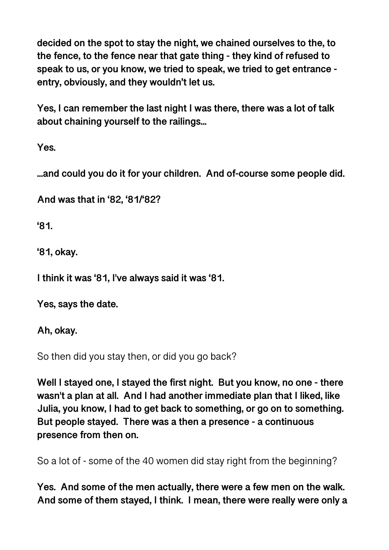**decided on the spot to stay the night, we chained ourselves to the, to the fence, to the fence near that gate thing - they kind of refused to speak to us, or you know, we tried to speak, we tried to get entrance entry, obviously, and they wouldn't let us.** 

**Yes, I can remember the last night I was there, there was a lot of talk about chaining yourself to the railings...** 

**Yes.** 

**...and could you do it for your children. And of-course some people did.** 

**And was that in '82, '81/'82?** 

**'81.** 

**'81, okay.** 

**I think it was '81, I've always said it was '81.** 

**Yes, says the date.** 

**Ah, okay.** 

So then did you stay then, or did you go back?

**Well I stayed one, I stayed the first night. But you know, no one - there wasn't a plan at all. And I had another immediate plan that I liked, like Julia, you know, I had to get back to something, or go on to something. But people stayed. There was a then a presence - a continuous presence from then on.** 

So a lot of - some of the 40 women did stay right from the beginning?

**Yes. And some of the men actually, there were a few men on the walk. And some of them stayed, I think. I mean, there were really were only a**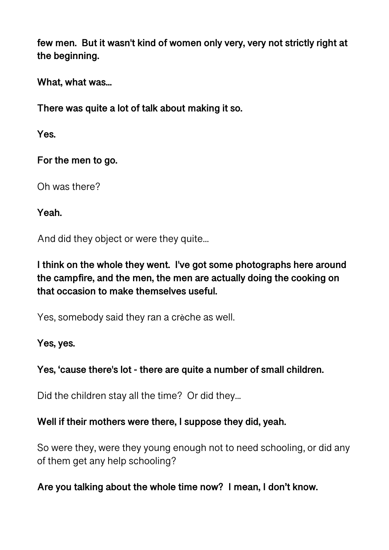**few men. But it wasn't kind of women only very, very not strictly right at the beginning.** 

**What, what was...** 

**There was quite a lot of talk about making it so.** 

**Yes.** 

**For the men to go.** 

Oh was there?

**Yeah.** 

And did they object or were they quite...

**I think on the whole they went. I've got some photographs here around the campfire, and the men, the men are actually doing the cooking on that occasion to make themselves useful.** 

Yes, somebody said they ran a crèche as well.

**Yes, yes.** 

## **Yes, 'cause there's lot - there are quite a number of small children.**

Did the children stay all the time? Or did they...

**Well if their mothers were there, I suppose they did, yeah.** 

So were they, were they young enough not to need schooling, or did any of them get any help schooling?

**Are you talking about the whole time now? I mean, I don't know.**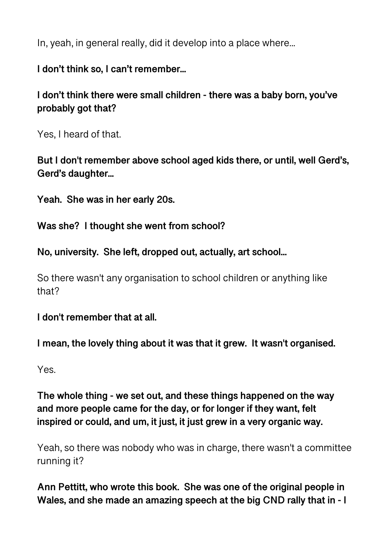In, yeah, in general really, did it develop into a place where...

**I don't think so, I can't remember...** 

**I don't think there were small children - there was a baby born, you've probably got that?** 

Yes, I heard of that.

**But I don't remember above school aged kids there, or until, well Gerd's, Gerd's daughter...** 

**Yeah. She was in her early 20s.** 

**Was she? I thought she went from school?** 

**No, university. She left, dropped out, actually, art school...** 

So there wasn't any organisation to school children or anything like that?

**I don't remember that at all.** 

**I mean, the lovely thing about it was that it grew. It wasn't organised.** 

Yes.

**The whole thing - we set out, and these things happened on the way and more people came for the day, or for longer if they want, felt inspired or could, and um, it just, it just grew in a very organic way.** 

Yeah, so there was nobody who was in charge, there wasn't a committee running it?

**Ann Pettitt, who wrote this book. She was one of the original people in Wales, and she made an amazing speech at the big CND rally that in - I**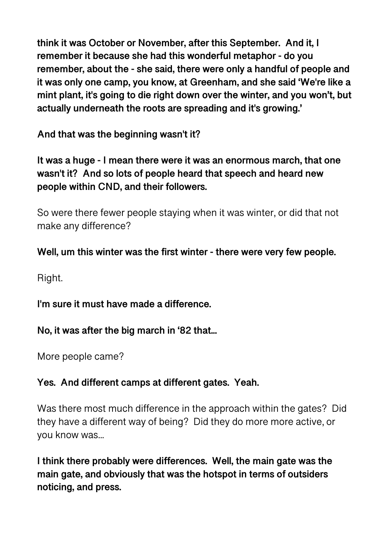**think it was October or November, after this September. And it, I remember it because she had this wonderful metaphor - do you remember, about the - she said, there were only a handful of people and it was only one camp, you know, at Greenham, and she said 'We're like a mint plant, it's going to die right down over the winter, and you won't, but actually underneath the roots are spreading and it's growing.'** 

**And that was the beginning wasn't it?** 

**It was a huge - I mean there were it was an enormous march, that one wasn't it? And so lots of people heard that speech and heard new people within CND, and their followers.** 

So were there fewer people staying when it was winter, or did that not make any difference?

# **Well, um this winter was the first winter - there were very few people.**

Right.

**I'm sure it must have made a difference.** 

**No, it was after the big march in '82 that...** 

More people came?

## **Yes. And different camps at different gates. Yeah.**

Was there most much difference in the approach within the gates? Did they have a different way of being? Did they do more more active, or you know was...

**I think there probably were differences. Well, the main gate was the main gate, and obviously that was the hotspot in terms of outsiders noticing, and press.**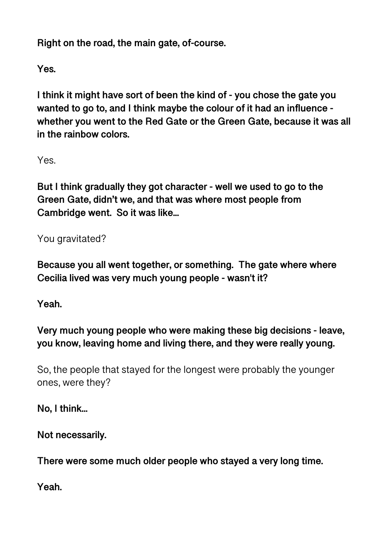**Right on the road, the main gate, of-course.** 

**Yes.** 

**I think it might have sort of been the kind of - you chose the gate you wanted to go to, and I think maybe the colour of it had an influence whether you went to the Red Gate or the Green Gate, because it was all in the rainbow colors.** 

Yes.

**But I think gradually they got character - well we used to go to the Green Gate, didn't we, and that was where most people from Cambridge went. So it was like...** 

You gravitated?

**Because you all went together, or something. The gate where where Cecilia lived was very much young people - wasn't it?** 

**Yeah.** 

**Very much young people who were making these big decisions - leave, you know, leaving home and living there, and they were really young.** 

So, the people that stayed for the longest were probably the younger ones, were they?

**No, I think...** 

**Not necessarily.** 

**There were some much older people who stayed a very long time.** 

**Yeah.**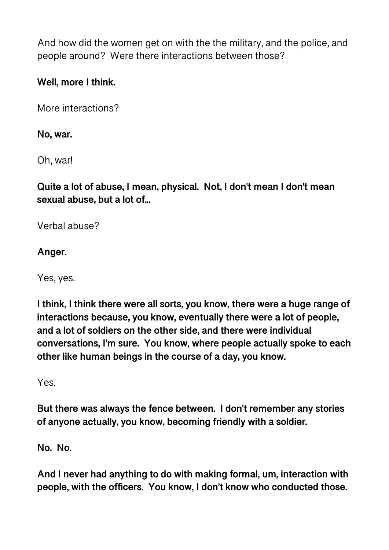And how did the women get on with the the military, and the police, and people around? Were there interactions between those?

# **Well, more I think.**

More interactions?

## **No, war.**

Oh, war!

**Quite a lot of abuse, I mean, physical. Not, I don't mean I don't mean sexual abuse, but a lot of...** 

Verbal abuse?

# **Anger.**

Yes, yes.

**I think, I think there were all sorts, you know, there were a huge range of interactions because, you know, eventually there were a lot of people, and a lot of soldiers on the other side, and there were individual conversations, I'm sure. You know, where people actually spoke to each other like human beings in the course of a day, you know.** 

Yes.

**But there was always the fence between. I don't remember any stories of anyone actually, you know, becoming friendly with a soldier.** 

**No. No.** 

**And I never had anything to do with making formal, um, interaction with people, with the officers. You know, I don't know who conducted those.**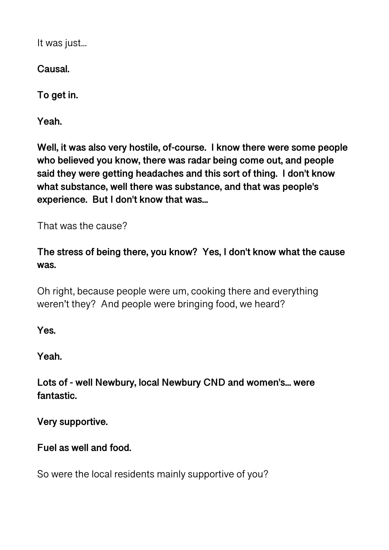It was just...

**Causal.** 

**To get in.** 

**Yeah.** 

**Well, it was also very hostile, of-course. I know there were some people who believed you know, there was radar being come out, and people said they were getting headaches and this sort of thing. I don't know what substance, well there was substance, and that was people's experience. But I don't know that was...** 

That was the cause?

**The stress of being there, you know? Yes, I don't know what the cause was.** 

Oh right, because people were um, cooking there and everything weren't they? And people were bringing food, we heard?

**Yes.** 

**Yeah.** 

**Lots of - well Newbury, local Newbury CND and women's... were fantastic.** 

**Very supportive.** 

**Fuel as well and food.** 

So were the local residents mainly supportive of you?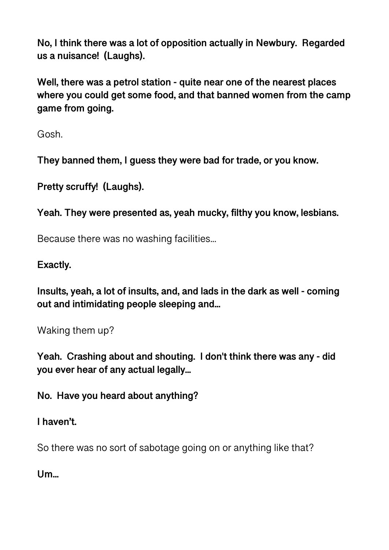**No, I think there was a lot of opposition actually in Newbury. Regarded us a nuisance! (Laughs).** 

**Well, there was a petrol station - quite near one of the nearest places where you could get some food, and that banned women from the camp game from going.** 

Gosh.

**They banned them, I guess they were bad for trade, or you know.** 

**Pretty scruffy! (Laughs).** 

**Yeah. They were presented as, yeah mucky, filthy you know, lesbians.** 

Because there was no washing facilities...

### **Exactly.**

**Insults, yeah, a lot of insults, and, and lads in the dark as well - coming out and intimidating people sleeping and...** 

Waking them up?

**Yeah. Crashing about and shouting. I don't think there was any - did you ever hear of any actual legally...** 

**No. Have you heard about anything?** 

**I haven't.** 

So there was no sort of sabotage going on or anything like that?

**Um...**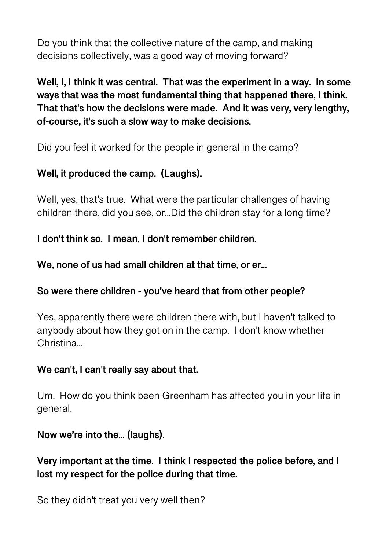Do you think that the collective nature of the camp, and making decisions collectively, was a good way of moving forward?

**Well, I, I think it was central. That was the experiment in a way. In some ways that was the most fundamental thing that happened there, I think. That that's how the decisions were made. And it was very, very lengthy, of-course, it's such a slow way to make decisions.** 

Did you feel it worked for the people in general in the camp?

# **Well, it produced the camp. (Laughs).**

Well, yes, that's true. What were the particular challenges of having children there, did you see, or...Did the children stay for a long time?

**I don't think so. I mean, I don't remember children.** 

## **We, none of us had small children at that time, or er...**

## **So were there children - you've heard that from other people?**

Yes, apparently there were children there with, but I haven't talked to anybody about how they got on in the camp. I don't know whether Christina...

## **We can't, I can't really say about that.**

Um. How do you think been Greenham has affected you in your life in general.

## **Now we're into the... (laughs).**

**Very important at the time. I think I respected the police before, and I lost my respect for the police during that time.** 

So they didn't treat you very well then?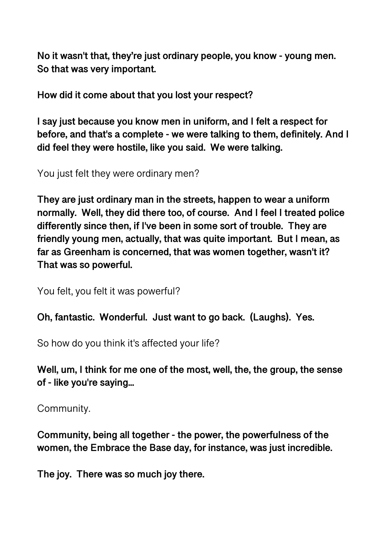**No it wasn't that, they're just ordinary people, you know - young men. So that was very important.** 

**How did it come about that you lost your respect?** 

**I say just because you know men in uniform, and I felt a respect for before, and that's a complete - we were talking to them, definitely. And I did feel they were hostile, like you said. We were talking.** 

You just felt they were ordinary men?

**They are just ordinary man in the streets, happen to wear a uniform normally. Well, they did there too, of course. And I feel I treated police differently since then, if I've been in some sort of trouble. They are friendly young men, actually, that was quite important. But I mean, as far as Greenham is concerned, that was women together, wasn't it? That was so powerful.** 

You felt, you felt it was powerful?

**Oh, fantastic. Wonderful. Just want to go back. (Laughs). Yes.** 

So how do you think it's affected your life?

**Well, um, I think for me one of the most, well, the, the group, the sense of - like you're saying...** 

Community.

**Community, being all together - the power, the powerfulness of the women, the Embrace the Base day, for instance, was just incredible.** 

**The joy. There was so much joy there.**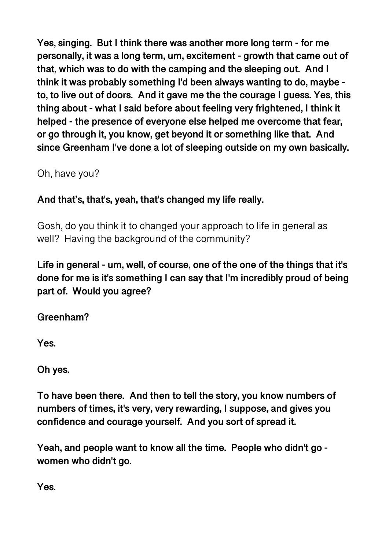**Yes, singing. But I think there was another more long term - for me personally, it was a long term, um, excitement - growth that came out of that, which was to do with the camping and the sleeping out. And I think it was probably something I'd been always wanting to do, maybe to, to live out of doors. And it gave me the the courage I guess. Yes, this thing about - what I said before about feeling very frightened, I think it helped - the presence of everyone else helped me overcome that fear, or go through it, you know, get beyond it or something like that. And since Greenham I've done a lot of sleeping outside on my own basically.** 

Oh, have you?

# **And that's, that's, yeah, that's changed my life really.**

Gosh, do you think it to changed your approach to life in general as well? Having the background of the community?

**Life in general - um, well, of course, one of the one of the things that it's done for me is it's something I can say that I'm incredibly proud of being part of. Would you agree?** 

**Greenham?** 

**Yes.** 

**Oh yes.** 

**To have been there. And then to tell the story, you know numbers of numbers of times, it's very, very rewarding, I suppose, and gives you confidence and courage yourself. And you sort of spread it.** 

**Yeah, and people want to know all the time. People who didn't go women who didn't go.** 

**Yes.**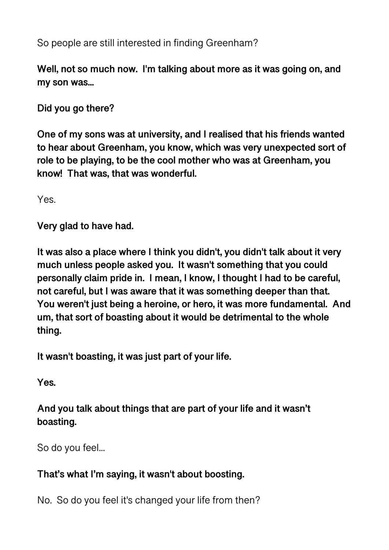So people are still interested in finding Greenham?

**Well, not so much now. I'm talking about more as it was going on, and my son was...** 

**Did you go there?** 

**One of my sons was at university, and I realised that his friends wanted to hear about Greenham, you know, which was very unexpected sort of role to be playing, to be the cool mother who was at Greenham, you know! That was, that was wonderful.** 

Yes.

**Very glad to have had.** 

**It was also a place where I think you didn't, you didn't talk about it very much unless people asked you. It wasn't something that you could personally claim pride in. I mean, I know, I thought I had to be careful, not careful, but I was aware that it was something deeper than that. You weren't just being a heroine, or hero, it was more fundamental. And um, that sort of boasting about it would be detrimental to the whole thing.** 

**It wasn't boasting, it was just part of your life.** 

**Yes.** 

**And you talk about things that are part of your life and it wasn't boasting.** 

So do you feel...

## **That's what I'm saying, it wasn't about boosting.**

No. So do you feel it's changed your life from then?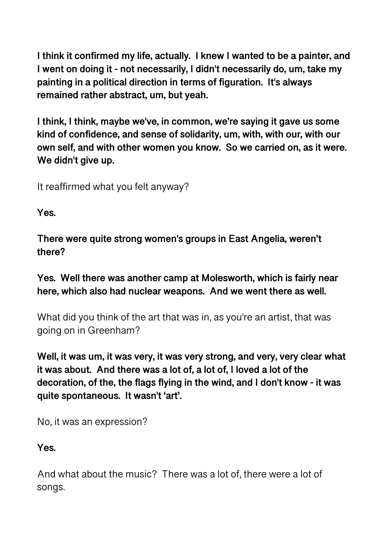**I think it confirmed my life, actually. I knew I wanted to be a painter, and I went on doing it - not necessarily, I didn't necessarily do, um, take my painting in a political direction in terms of figuration. It's always remained rather abstract, um, but yeah.** 

**I think, I think, maybe we've, in common, we're saying it gave us some kind of confidence, and sense of solidarity, um, with, with our, with our own self, and with other women you know. So we carried on, as it were. We didn't give up.** 

It reaffirmed what you felt anyway?

**Yes.** 

**There were quite strong women's groups in East Angelia, weren't there?** 

**Yes. Well there was another camp at Molesworth, which is fairly near here, which also had nuclear weapons. And we went there as well.** 

What did you think of the art that was in, as you're an artist, that was going on in Greenham?

**Well, it was um, it was very, it was very strong, and very, very clear what it was about. And there was a lot of, a lot of, I loved a lot of the decoration, of the, the flags flying in the wind, and I don't know - it was quite spontaneous. It wasn't 'art'.** 

No, it was an expression?

**Yes.** 

And what about the music? There was a lot of, there were a lot of songs.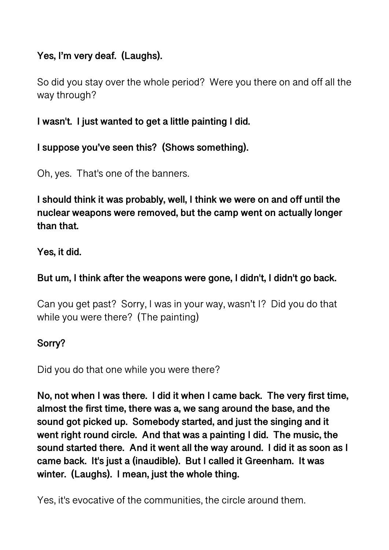# **Yes, I'm very deaf. (Laughs).**

So did you stay over the whole period? Were you there on and off all the way through?

**I wasn't. I just wanted to get a little painting I did.** 

**I suppose you've seen this? (Shows something).** 

Oh, yes. That's one of the banners.

**I should think it was probably, well, I think we were on and off until the nuclear weapons were removed, but the camp went on actually longer than that.** 

**Yes, it did.** 

## **But um, I think after the weapons were gone, I didn't, I didn't go back.**

Can you get past? Sorry, I was in your way, wasn't I? Did you do that while you were there? (The painting)

## **Sorry?**

Did you do that one while you were there?

**No, not when I was there. I did it when I came back. The very first time, almost the first time, there was a, we sang around the base, and the sound got picked up. Somebody started, and just the singing and it went right round circle. And that was a painting I did. The music, the sound started there. And it went all the way around. I did it as soon as I came back. It's just a (inaudible). But I called it Greenham. It was winter. (Laughs). I mean, just the whole thing.** 

Yes, it's evocative of the communities, the circle around them.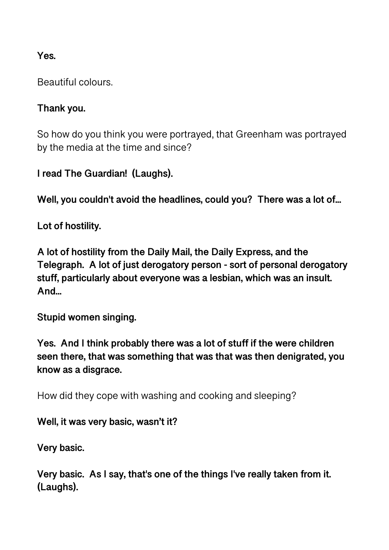## **Yes.**

Beautiful colours.

### **Thank you.**

So how do you think you were portrayed, that Greenham was portrayed by the media at the time and since?

**I read The Guardian! (Laughs).** 

**Well, you couldn't avoid the headlines, could you? There was a lot of...** 

**Lot of hostility.** 

**A lot of hostility from the Daily Mail, the Daily Express, and the Telegraph. A lot of just derogatory person - sort of personal derogatory stuff, particularly about everyone was a lesbian, which was an insult. And...** 

**Stupid women singing.** 

**Yes. And I think probably there was a lot of stuff if the were children seen there, that was something that was that was then denigrated, you know as a disgrace.** 

How did they cope with washing and cooking and sleeping?

**Well, it was very basic, wasn't it?** 

**Very basic.** 

**Very basic. As I say, that's one of the things I've really taken from it. (Laughs).**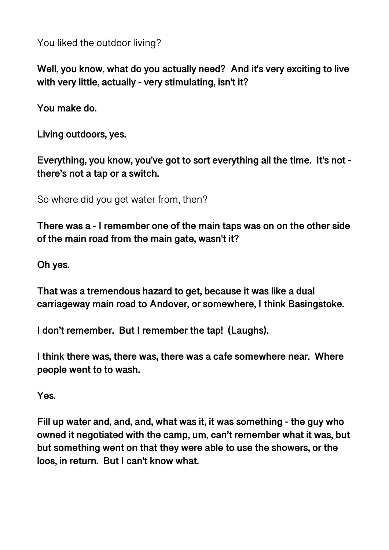You liked the outdoor living?

**Well, you know, what do you actually need? And it's very exciting to live with very little, actually - very stimulating, isn't it?** 

**You make do.** 

**Living outdoors, yes.** 

**Everything, you know, you've got to sort everything all the time. It's not there's not a tap or a switch.** 

So where did you get water from, then?

**There was a - I remember one of the main taps was on on the other side of the main road from the main gate, wasn't it?** 

**Oh yes.** 

**That was a tremendous hazard to get, because it was like a dual carriageway main road to Andover, or somewhere, I think Basingstoke.** 

**I don't remember. But I remember the tap! (Laughs).** 

**I think there was, there was, there was a cafe somewhere near. Where people went to to wash.** 

**Yes.** 

**Fill up water and, and, and, what was it, it was something - the guy who owned it negotiated with the camp, um, can't remember what it was, but but something went on that they were able to use the showers, or the loos, in return. But I can't know what.**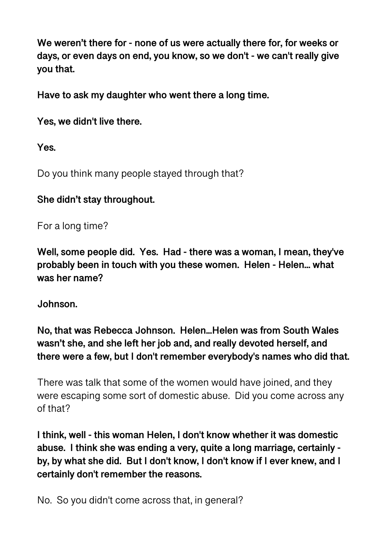**We weren't there for - none of us were actually there for, for weeks or days, or even days on end, you know, so we don't - we can't really give you that.** 

**Have to ask my daughter who went there a long time.** 

**Yes, we didn't live there.** 

**Yes.** 

Do you think many people stayed through that?

### **She didn't stay throughout.**

For a long time?

**Well, some people did. Yes. Had - there was a woman, I mean, they've probably been in touch with you these women. Helen - Helen... what was her name?** 

**Johnson.** 

**No, that was Rebecca Johnson. Helen...Helen was from South Wales wasn't she, and she left her job and, and really devoted herself, and there were a few, but I don't remember everybody's names who did that.** 

There was talk that some of the women would have joined, and they were escaping some sort of domestic abuse. Did you come across any of that?

**I think, well - this woman Helen, I don't know whether it was domestic abuse. I think she was ending a very, quite a long marriage, certainly by, by what she did. But I don't know, I don't know if I ever knew, and I certainly don't remember the reasons.** 

No. So you didn't come across that, in general?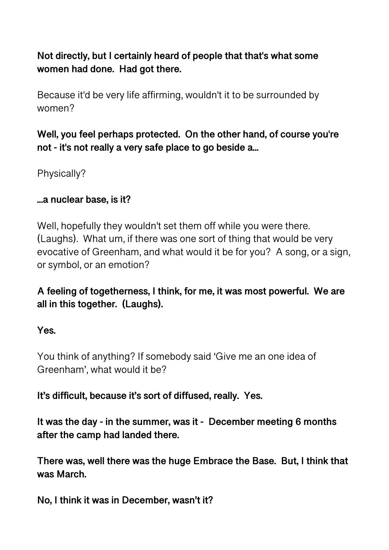**Not directly, but I certainly heard of people that that's what some women had done. Had got there.** 

Because it'd be very life affirming, wouldn't it to be surrounded by women?

**Well, you feel perhaps protected. On the other hand, of course you're not - it's not really a very safe place to go beside a...** 

Physically?

### **...a nuclear base, is it?**

Well, hopefully they wouldn't set them off while you were there. (Laughs). What um, if there was one sort of thing that would be very evocative of Greenham, and what would it be for you? A song, or a sign, or symbol, or an emotion?

**A feeling of togetherness, I think, for me, it was most powerful. We are all in this together. (Laughs).** 

#### **Yes.**

You think of anything? If somebody said 'Give me an one idea of Greenham', what would it be?

**It's difficult, because it's sort of diffused, really. Yes.** 

**It was the day - in the summer, was it - December meeting 6 months after the camp had landed there.** 

**There was, well there was the huge Embrace the Base. But, I think that was March.** 

**No, I think it was in December, wasn't it?**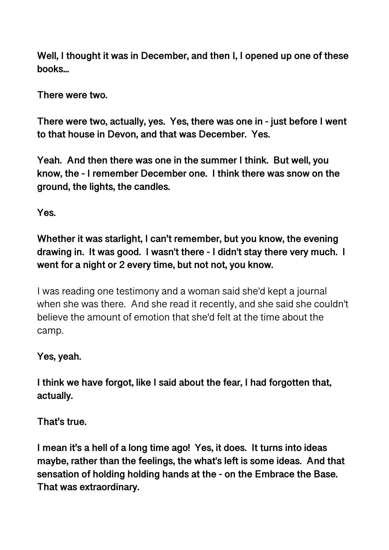**Well, I thought it was in December, and then I, I opened up one of these books...** 

**There were two.** 

**There were two, actually, yes. Yes, there was one in - just before I went to that house in Devon, and that was December. Yes.** 

**Yeah. And then there was one in the summer I think. But well, you know, the - I remember December one. I think there was snow on the ground, the lights, the candles.** 

**Yes.** 

**Whether it was starlight, I can't remember, but you know, the evening drawing in. It was good. I wasn't there - I didn't stay there very much. I went for a night or 2 every time, but not not, you know.** 

I was reading one testimony and a woman said she'd kept a journal when she was there. And she read it recently, and she said she couldn't believe the amount of emotion that she'd felt at the time about the camp.

#### **Yes, yeah.**

**I think we have forgot, like I said about the fear, I had forgotten that, actually.** 

**That's true.** 

**I mean it's a hell of a long time ago! Yes, it does. It turns into ideas maybe, rather than the feelings, the what's left is some ideas. And that sensation of holding holding hands at the - on the Embrace the Base. That was extraordinary.**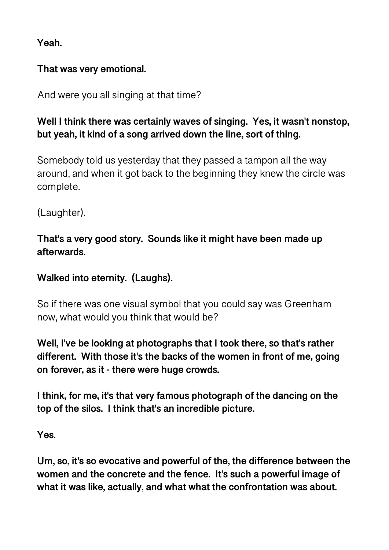**Yeah.** 

### **That was very emotional.**

And were you all singing at that time?

# **Well I think there was certainly waves of singing. Yes, it wasn't nonstop, but yeah, it kind of a song arrived down the line, sort of thing.**

Somebody told us yesterday that they passed a tampon all the way around, and when it got back to the beginning they knew the circle was complete.

(Laughter).

# **That's a very good story. Sounds like it might have been made up afterwards.**

# **Walked into eternity. (Laughs).**

So if there was one visual symbol that you could say was Greenham now, what would you think that would be?

**Well, I've be looking at photographs that I took there, so that's rather different. With those it's the backs of the women in front of me, going on forever, as it - there were huge crowds.** 

**I think, for me, it's that very famous photograph of the dancing on the top of the silos. I think that's an incredible picture.** 

**Yes.** 

**Um, so, it's so evocative and powerful of the, the difference between the women and the concrete and the fence. It's such a powerful image of what it was like, actually, and what what the confrontation was about.**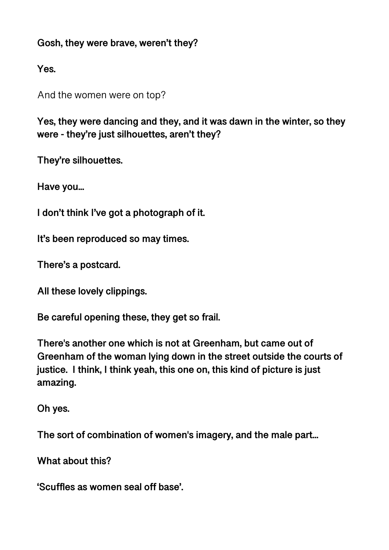### **Gosh, they were brave, weren't they?**

**Yes.** 

And the women were on top?

**Yes, they were dancing and they, and it was dawn in the winter, so they were - they're just silhouettes, aren't they?** 

**They're silhouettes.** 

**Have you...** 

**I don't think I've got a photograph of it.** 

**It's been reproduced so may times.** 

**There's a postcard.** 

**All these lovely clippings.** 

**Be careful opening these, they get so frail.** 

**There's another one which is not at Greenham, but came out of Greenham of the woman lying down in the street outside the courts of justice. I think, I think yeah, this one on, this kind of picture is just amazing.** 

**Oh yes.** 

**The sort of combination of women's imagery, and the male part...** 

**What about this?** 

**'Scuffles as women seal off base'.**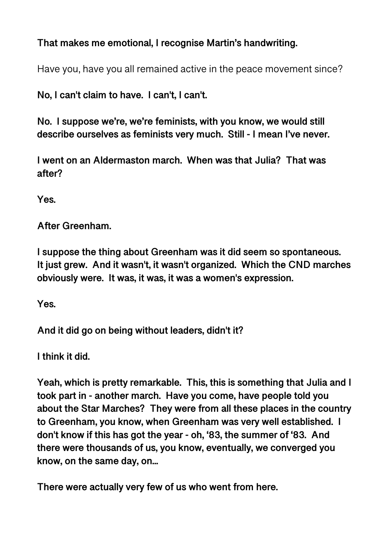## **That makes me emotional, I recognise Martin's handwriting.**

Have you, have you all remained active in the peace movement since?

**No, I can't claim to have. I can't, I can't.** 

**No. I suppose we're, we're feminists, with you know, we would still describe ourselves as feminists very much. Still - I mean I've never.** 

**I went on an Aldermaston march. When was that Julia? That was after?** 

**Yes.** 

**After Greenham.** 

**I suppose the thing about Greenham was it did seem so spontaneous. It just grew. And it wasn't, it wasn't organized. Which the CND marches obviously were. It was, it was, it was a women's expression.** 

**Yes.** 

**And it did go on being without leaders, didn't it?** 

**I think it did.** 

**Yeah, which is pretty remarkable. This, this is something that Julia and I took part in - another march. Have you come, have people told you about the Star Marches? They were from all these places in the country to Greenham, you know, when Greenham was very well established. I don't know if this has got the year - oh, '83, the summer of '83. And there were thousands of us, you know, eventually, we converged you know, on the same day, on...** 

**There were actually very few of us who went from here.**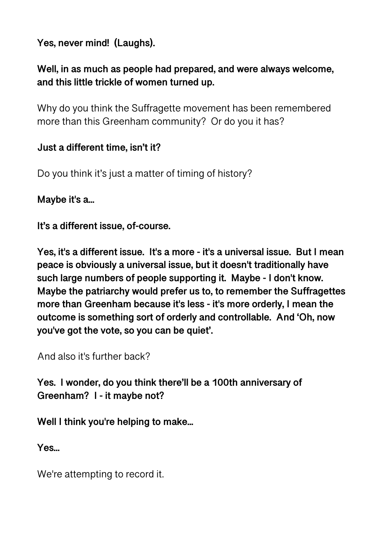**Yes, never mind! (Laughs).** 

# **Well, in as much as people had prepared, and were always welcome, and this little trickle of women turned up.**

Why do you think the Suffragette movement has been remembered more than this Greenham community? Or do you it has?

### **Just a different time, isn't it?**

Do you think it's just a matter of timing of history?

**Maybe it's a...** 

**It's a different issue, of-course.** 

**Yes, it's a different issue. It's a more - it's a universal issue. But I mean peace is obviously a universal issue, but it doesn't traditionally have such large numbers of people supporting it. Maybe - I don't know. Maybe the patriarchy would prefer us to, to remember the Suffragettes more than Greenham because it's less - it's more orderly, I mean the outcome is something sort of orderly and controllable. And 'Oh, now you've got the vote, so you can be quiet'.** 

And also it's further back?

**Yes. I wonder, do you think there'll be a 100th anniversary of Greenham? I - it maybe not?** 

**Well I think you're helping to make...** 

**Yes...** 

We're attempting to record it.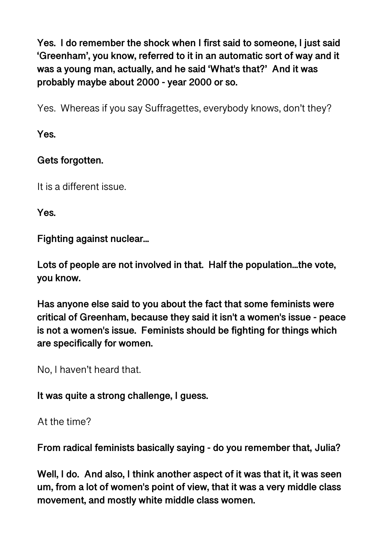**Yes. I do remember the shock when I first said to someone, I just said 'Greenham', you know, referred to it in an automatic sort of way and it was a young man, actually, and he said 'What's that?' And it was probably maybe about 2000 - year 2000 or so.** 

Yes. Whereas if you say Suffragettes, everybody knows, don't they?

**Yes.** 

# **Gets forgotten.**

It is a different issue.

**Yes.** 

**Fighting against nuclear...** 

**Lots of people are not involved in that. Half the population...the vote, you know.** 

**Has anyone else said to you about the fact that some feminists were critical of Greenham, because they said it isn't a women's issue - peace is not a women's issue. Feminists should be fighting for things which are specifically for women.** 

No, I haven't heard that.

**It was quite a strong challenge, I guess.** 

At the time?

**From radical feminists basically saying - do you remember that, Julia?** 

**Well, I do. And also, I think another aspect of it was that it, it was seen um, from a lot of women's point of view, that it was a very middle class movement, and mostly white middle class women.**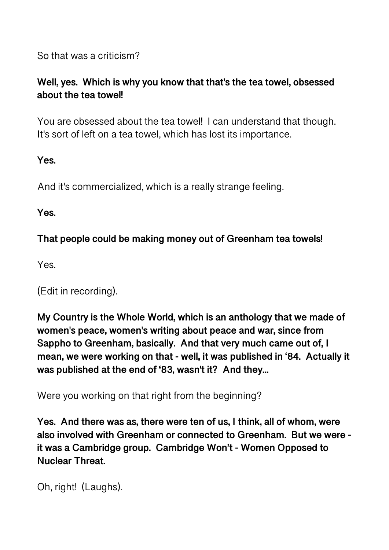So that was a criticism?

# **Well, yes. Which is why you know that that's the tea towel, obsessed about the tea towel!**

You are obsessed about the tea towel! I can understand that though. It's sort of left on a tea towel, which has lost its importance.

**Yes.** 

And it's commercialized, which is a really strange feeling.

**Yes.** 

**That people could be making money out of Greenham tea towels!** 

Yes.

(Edit in recording).

**My Country is the Whole World, which is an anthology that we made of women's peace, women's writing about peace and war, since from Sappho to Greenham, basically. And that very much came out of, I mean, we were working on that - well, it was published in '84. Actually it was published at the end of '83, wasn't it? And they...** 

Were you working on that right from the beginning?

**Yes. And there was as, there were ten of us, I think, all of whom, were also involved with Greenham or connected to Greenham. But we were it was a Cambridge group. Cambridge Won't - Women Opposed to Nuclear Threat.** 

```
Oh, right! (Laughs).
```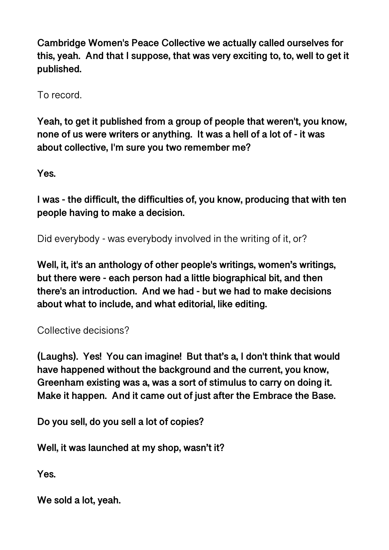**Cambridge Women's Peace Collective we actually called ourselves for this, yeah. And that I suppose, that was very exciting to, to, well to get it published.** 

To record.

**Yeah, to get it published from a group of people that weren't, you know, none of us were writers or anything. It was a hell of a lot of - it was about collective, I'm sure you two remember me?** 

**Yes.** 

**I was - the difficult, the difficulties of, you know, producing that with ten people having to make a decision.** 

Did everybody - was everybody involved in the writing of it, or?

**Well, it, it's an anthology of other people's writings, women's writings, but there were - each person had a little biographical bit, and then there's an introduction. And we had - but we had to make decisions about what to include, and what editorial, like editing.** 

Collective decisions?

**(Laughs). Yes! You can imagine! But that's a, I don't think that would have happened without the background and the current, you know, Greenham existing was a, was a sort of stimulus to carry on doing it. Make it happen. And it came out of just after the Embrace the Base.** 

**Do you sell, do you sell a lot of copies?** 

**Well, it was launched at my shop, wasn't it?** 

**Yes.** 

**We sold a lot, yeah.**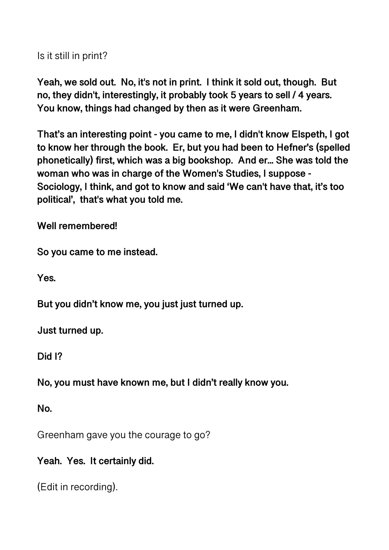Is it still in print?

**Yeah, we sold out. No, it's not in print. I think it sold out, though. But no, they didn't, interestingly, it probably took 5 years to sell / 4 years. You know, things had changed by then as it were Greenham.** 

**That's an interesting point - you came to me, I didn't know Elspeth, I got to know her through the book. Er, but you had been to Hefner's (spelled phonetically) first, which was a big bookshop. And er... She was told the woman who was in charge of the Women's Studies, I suppose - Sociology, I think, and got to know and said 'We can't have that, it's too political', that's what you told me.** 

**Well remembered!** 

**So you came to me instead.** 

**Yes.** 

**But you didn't know me, you just just turned up.** 

**Just turned up.** 

**Did I?** 

**No, you must have known me, but I didn't really know you.** 

**No.** 

Greenham gave you the courage to go?

**Yeah. Yes. It certainly did.** 

(Edit in recording).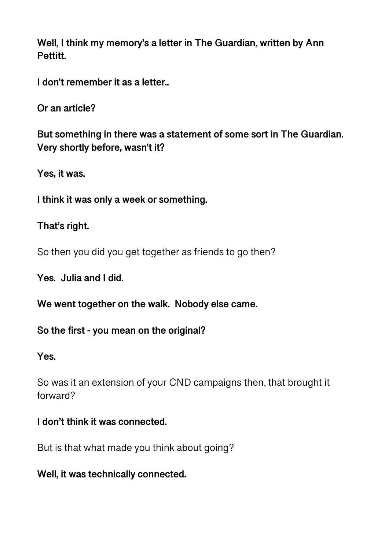**Well, I think my memory's a letter in The Guardian, written by Ann Pettitt.** 

**I don't remember it as a letter..** 

**Or an article?** 

**But something in there was a statement of some sort in The Guardian. Very shortly before, wasn't it?** 

**Yes, it was.** 

**I think it was only a week or something.** 

#### **That's right.**

So then you did you get together as friends to go then?

**Yes. Julia and I did.** 

**We went together on the walk. Nobody else came.** 

#### **So the first - you mean on the original?**

#### **Yes.**

So was it an extension of your CND campaigns then, that brought it forward?

#### **I don't think it was connected.**

But is that what made you think about going?

#### **Well, it was technically connected.**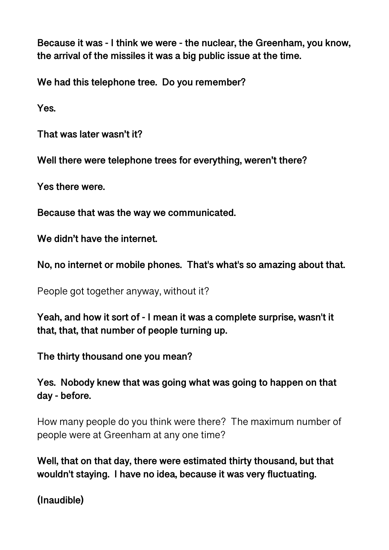**Because it was - I think we were - the nuclear, the Greenham, you know, the arrival of the missiles it was a big public issue at the time.** 

**We had this telephone tree. Do you remember?** 

**Yes.** 

**That was later wasn't it?** 

**Well there were telephone trees for everything, weren't there?** 

**Yes there were.** 

**Because that was the way we communicated.** 

**We didn't have the internet.** 

**No, no internet or mobile phones. That's what's so amazing about that.** 

People got together anyway, without it?

**Yeah, and how it sort of - I mean it was a complete surprise, wasn't it that, that, that number of people turning up.** 

**The thirty thousand one you mean?** 

**Yes. Nobody knew that was going what was going to happen on that day - before.** 

How many people do you think were there? The maximum number of people were at Greenham at any one time?

**Well, that on that day, there were estimated thirty thousand, but that wouldn't staying. I have no idea, because it was very fluctuating.** 

**(Inaudible)**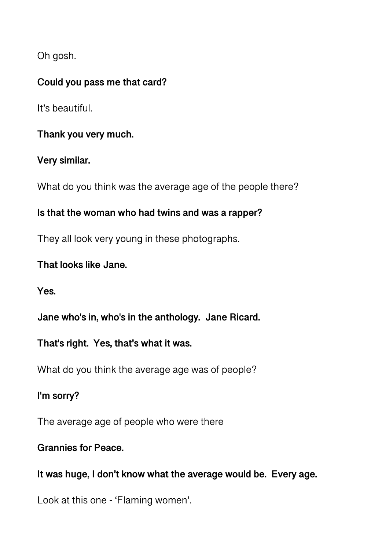Oh gosh.

### **Could you pass me that card?**

It's beautiful.

**Thank you very much.** 

# **Very similar.**

What do you think was the average age of the people there?

## **Is that the woman who had twins and was a rapper?**

They all look very young in these photographs.

### **That looks like Jane.**

**Yes.** 

**Jane who's in, who's in the anthology. Jane Ricard.** 

**That's right. Yes, that's what it was.** 

What do you think the average age was of people?

**I'm sorry?** 

The average age of people who were there

#### **Grannies for Peace.**

**It was huge, I don't know what the average would be. Every age.** 

Look at this one - 'Flaming women'.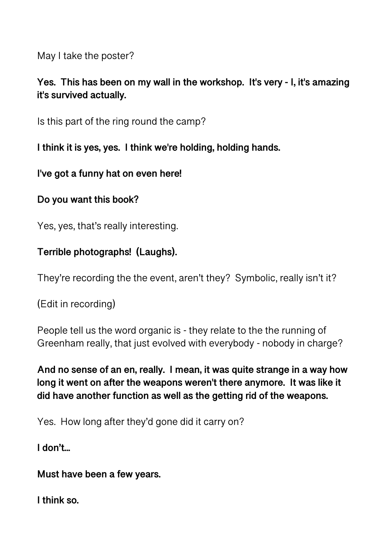May I take the poster?

# **Yes. This has been on my wall in the workshop. It's very - I, it's amazing it's survived actually.**

Is this part of the ring round the camp?

**I think it is yes, yes. I think we're holding, holding hands.** 

**I've got a funny hat on even here!** 

**Do you want this book?**

Yes, yes, that's really interesting.

# **Terrible photographs! (Laughs).**

They're recording the the event, aren't they? Symbolic, really isn't it?

(Edit in recording)

People tell us the word organic is - they relate to the the running of Greenham really, that just evolved with everybody - nobody in charge?

**And no sense of an en, really. I mean, it was quite strange in a way how long it went on after the weapons weren't there anymore. It was like it did have another function as well as the getting rid of the weapons.** 

Yes. How long after they'd gone did it carry on?

**I don't...** 

**Must have been a few years.** 

**I think so.**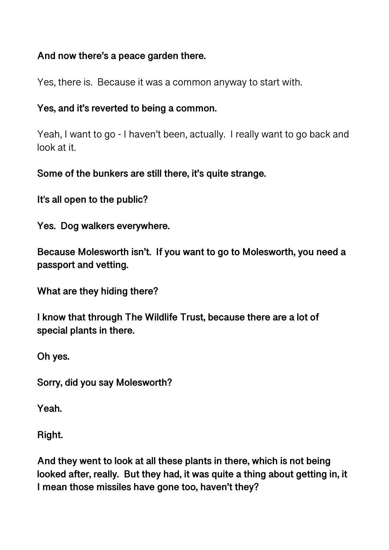### **And now there's a peace garden there.**

Yes, there is. Because it was a common anyway to start with.

### **Yes, and it's reverted to being a common.**

Yeah, I want to go - I haven't been, actually. I really want to go back and look at it.

**Some of the bunkers are still there, it's quite strange.** 

**It's all open to the public?** 

**Yes. Dog walkers everywhere.** 

**Because Molesworth isn't. If you want to go to Molesworth, you need a passport and vetting.** 

**What are they hiding there?** 

**I know that through The Wildlife Trust, because there are a lot of special plants in there.** 

**Oh yes.** 

**Sorry, did you say Molesworth?** 

**Yeah.** 

**Right.** 

**And they went to look at all these plants in there, which is not being looked after, really. But they had, it was quite a thing about getting in, it I mean those missiles have gone too, haven't they?**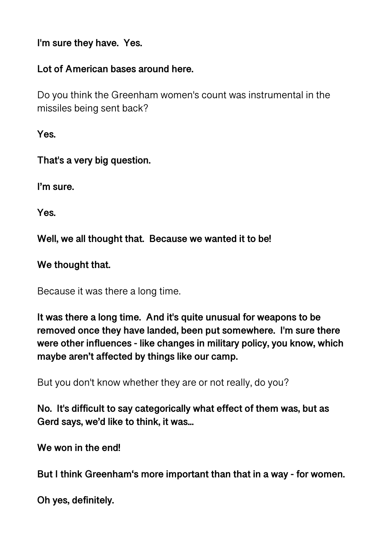**I'm sure they have. Yes.** 

#### **Lot of American bases around here.**

Do you think the Greenham women's count was instrumental in the missiles being sent back?

**Yes.** 

**That's a very big question.** 

**I'm sure.** 

**Yes.** 

**Well, we all thought that. Because we wanted it to be!** 

### **We thought that.**

Because it was there a long time.

**It was there a long time. And it's quite unusual for weapons to be removed once they have landed, been put somewhere. I'm sure there were other influences - like changes in military policy, you know, which maybe aren't affected by things like our camp.** 

But you don't know whether they are or not really, do you?

**No. It's difficult to say categorically what effect of them was, but as Gerd says, we'd like to think, it was...** 

**We won in the end!** 

**But I think Greenham's more important than that in a way - for women.** 

**Oh yes, definitely.**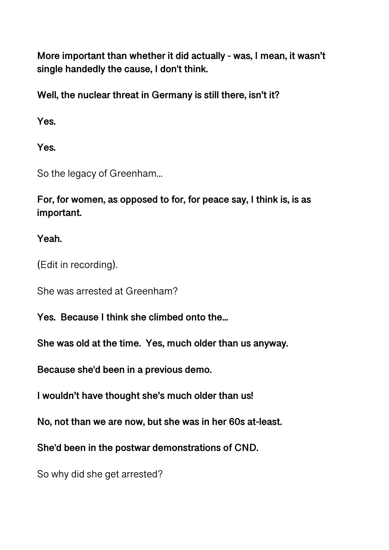**More important than whether it did actually - was, I mean, it wasn't single handedly the cause, I don't think.** 

**Well, the nuclear threat in Germany is still there, isn't it?** 

**Yes.** 

**Yes.** 

So the legacy of Greenham...

**For, for women, as opposed to for, for peace say, I think is, is as important.** 

# **Yeah.**

(Edit in recording).

She was arrested at Greenham?

**Yes. Because I think she climbed onto the...** 

**She was old at the time. Yes, much older than us anyway.** 

**Because she'd been in a previous demo.** 

**I wouldn't have thought she's much older than us!** 

**No, not than we are now, but she was in her 60s at-least.** 

**She'd been in the postwar demonstrations of CND.** 

So why did she get arrested?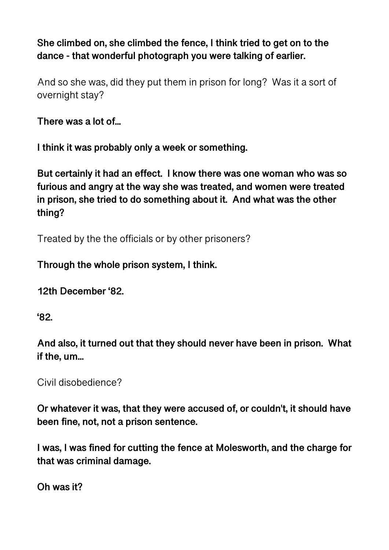**She climbed on, she climbed the fence, I think tried to get on to the dance - that wonderful photograph you were talking of earlier.** 

And so she was, did they put them in prison for long? Was it a sort of overnight stay?

**There was a lot of...** 

**I think it was probably only a week or something.** 

**But certainly it had an effect. I know there was one woman who was so furious and angry at the way she was treated, and women were treated in prison, she tried to do something about it. And what was the other thing?** 

Treated by the the officials or by other prisoners?

**Through the whole prison system, I think.** 

**12th December '82.** 

**'82.** 

**And also, it turned out that they should never have been in prison. What if the, um...** 

Civil disobedience?

**Or whatever it was, that they were accused of, or couldn't, it should have been fine, not, not a prison sentence.** 

**I was, I was fined for cutting the fence at Molesworth, and the charge for that was criminal damage.** 

**Oh was it?**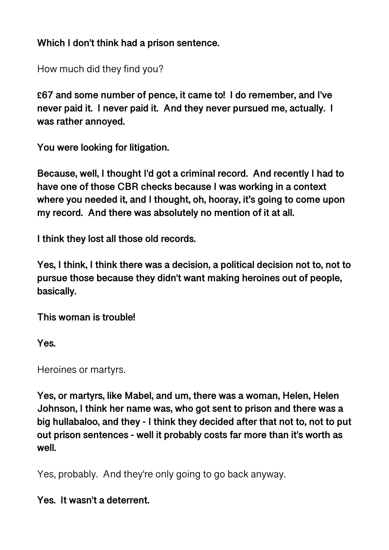**Which I don't think had a prison sentence.** 

How much did they find you?

**£67 and some number of pence, it came to! I do remember, and I've never paid it. I never paid it. And they never pursued me, actually. I was rather annoyed.** 

**You were looking for litigation.** 

**Because, well, I thought I'd got a criminal record. And recently I had to have one of those CBR checks because I was working in a context where you needed it, and I thought, oh, hooray, it's going to come upon my record. And there was absolutely no mention of it at all.** 

**I think they lost all those old records.** 

**Yes, I think, I think there was a decision, a political decision not to, not to pursue those because they didn't want making heroines out of people, basically.** 

**This woman is trouble!** 

**Yes.** 

Heroines or martyrs.

**Yes, or martyrs, like Mabel, and um, there was a woman, Helen, Helen Johnson, I think her name was, who got sent to prison and there was a big hullabaloo, and they - I think they decided after that not to, not to put out prison sentences - well it probably costs far more than it's worth as well.** 

Yes, probably. And they're only going to go back anyway.

**Yes. It wasn't a deterrent.**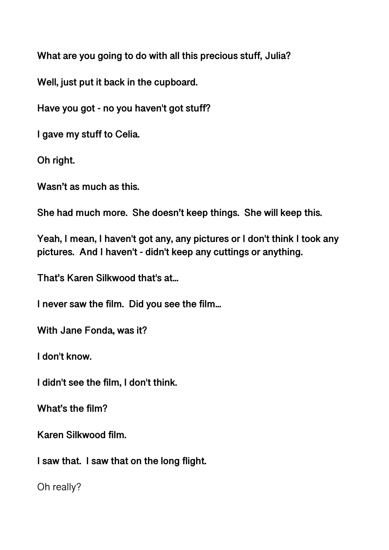**What are you going to do with all this precious stuff, Julia?** 

**Well, just put it back in the cupboard.** 

**Have you got - no you haven't got stuff?** 

**I gave my stuff to Celia.** 

**Oh right.** 

**Wasn't as much as this.** 

**She had much more. She doesn't keep things. She will keep this.** 

**Yeah, I mean, I haven't got any, any pictures or I don't think I took any pictures. And I haven't - didn't keep any cuttings or anything.** 

**That's Karen Silkwood that's at...** 

**I never saw the film. Did you see the film...** 

**With Jane Fonda, was it?** 

**I don't know.** 

**I didn't see the film, I don't think.** 

**What's the film?** 

**Karen Silkwood film.** 

**I saw that. I saw that on the long flight.** 

Oh really?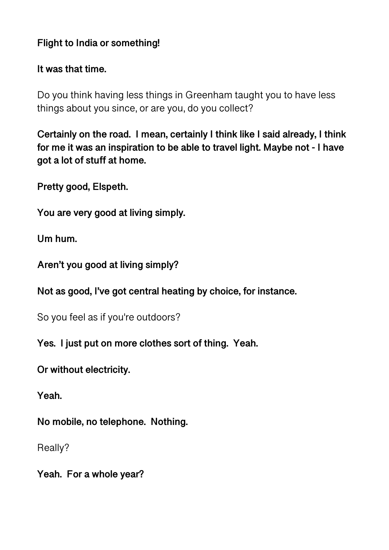## **Flight to India or something!**

#### **It was that time.**

Do you think having less things in Greenham taught you to have less things about you since, or are you, do you collect?

**Certainly on the road. I mean, certainly I think like I said already, I think for me it was an inspiration to be able to travel light. Maybe not - I have got a lot of stuff at home.** 

**Pretty good, Elspeth.** 

**You are very good at living simply.** 

**Um hum.** 

**Aren't you good at living simply?** 

**Not as good, I've got central heating by choice, for instance.** 

So you feel as if you're outdoors?

**Yes. I just put on more clothes sort of thing. Yeah.** 

**Or without electricity.** 

**Yeah.** 

**No mobile, no telephone. Nothing.** 

Really?

**Yeah. For a whole year?**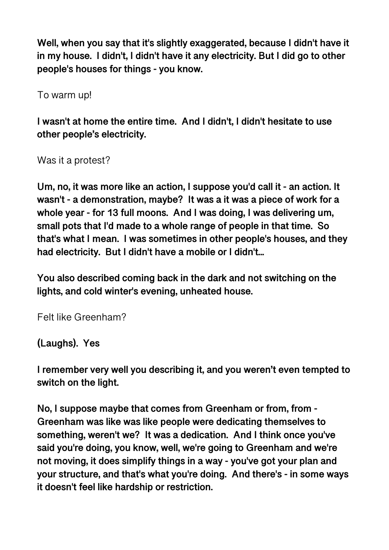**Well, when you say that it's slightly exaggerated, because I didn't have it in my house. I didn't, I didn't have it any electricity. But I did go to other people's houses for things - you know.** 

To warm up!

**I wasn't at home the entire time. And I didn't, I didn't hesitate to use other people's electricity.** 

Was it a protest?

**Um, no, it was more like an action, I suppose you'd call it - an action. It wasn't - a demonstration, maybe? It was a it was a piece of work for a whole year - for 13 full moons. And I was doing, I was delivering um, small pots that I'd made to a whole range of people in that time. So that's what I mean. I was sometimes in other people's houses, and they had electricity. But I didn't have a mobile or I didn't...** 

**You also described coming back in the dark and not switching on the lights, and cold winter's evening, unheated house.** 

Felt like Greenham?

**(Laughs). Yes** 

**I remember very well you describing it, and you weren't even tempted to switch on the light.** 

**No, I suppose maybe that comes from Greenham or from, from - Greenham was like was like people were dedicating themselves to something, weren't we? It was a dedication. And I think once you've said you're doing, you know, well, we're going to Greenham and we're not moving, it does simplify things in a way - you've got your plan and your structure, and that's what you're doing. And there's - in some ways it doesn't feel like hardship or restriction.**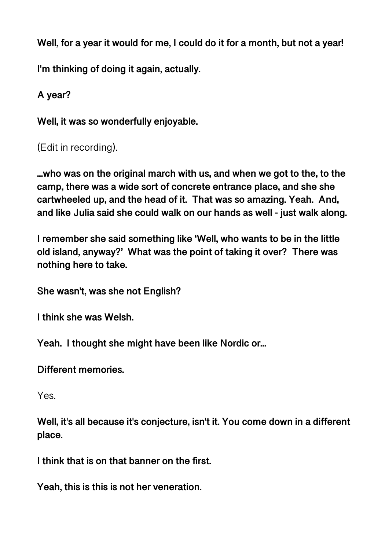**Well, for a year it would for me, I could do it for a month, but not a year!** 

**I'm thinking of doing it again, actually.** 

```
A year?
```
**Well, it was so wonderfully enjoyable.** 

```
(Edit in recording).
```
**...who was on the original march with us, and when we got to the, to the camp, there was a wide sort of concrete entrance place, and she she cartwheeled up, and the head of it. That was so amazing. Yeah. And, and like Julia said she could walk on our hands as well - just walk along.** 

**I remember she said something like 'Well, who wants to be in the little old island, anyway?' What was the point of taking it over? There was nothing here to take.** 

**She wasn't, was she not English?** 

**I think she was Welsh.** 

**Yeah. I thought she might have been like Nordic or...** 

**Different memories.** 

Yes.

**Well, it's all because it's conjecture, isn't it. You come down in a different place.** 

**I think that is on that banner on the first.** 

**Yeah, this is this is not her veneration.**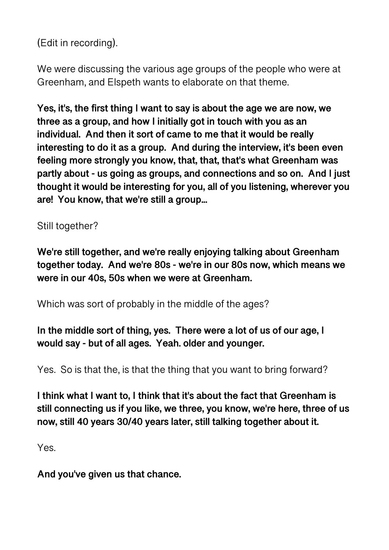(Edit in recording).

We were discussing the various age groups of the people who were at Greenham, and Elspeth wants to elaborate on that theme.

**Yes, it's, the first thing I want to say is about the age we are now, we three as a group, and how I initially got in touch with you as an individual. And then it sort of came to me that it would be really interesting to do it as a group. And during the interview, it's been even feeling more strongly you know, that, that, that's what Greenham was partly about - us going as groups, and connections and so on. And I just thought it would be interesting for you, all of you listening, wherever you are! You know, that we're still a group...** 

Still together?

**We're still together, and we're really enjoying talking about Greenham together today. And we're 80s - we're in our 80s now, which means we were in our 40s, 50s when we were at Greenham.** 

Which was sort of probably in the middle of the ages?

**In the middle sort of thing, yes. There were a lot of us of our age, I would say - but of all ages. Yeah. older and younger.** 

Yes. So is that the, is that the thing that you want to bring forward?

**I think what I want to, I think that it's about the fact that Greenham is still connecting us if you like, we three, you know, we're here, three of us now, still 40 years 30/40 years later, still talking together about it.** 

Yes.

**And you've given us that chance.**